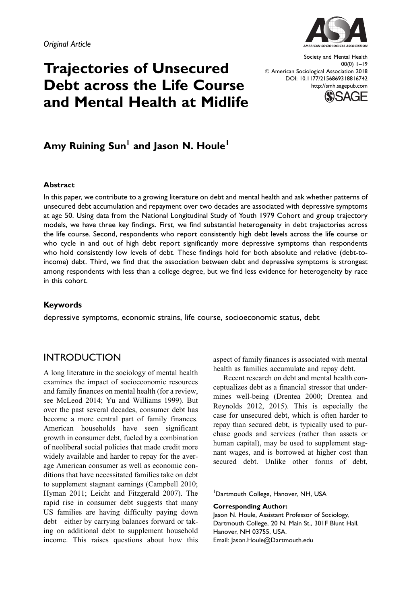

# Trajectories of Unsecured Debt across the Life Course and Mental Health at Midlife

Society and Mental Health 00(0) 1–19  $\oslash$  American Sociological Association 2018 DOI: 10.1177/2156869318816742 http://smh.sagepub.com



# Amy Ruining Sun<sup>1</sup> and Jason N. Houle<sup>1</sup>

#### Abstract

In this paper, we contribute to a growing literature on debt and mental health and ask whether patterns of unsecured debt accumulation and repayment over two decades are associated with depressive symptoms at age 50. Using data from the National Longitudinal Study of Youth 1979 Cohort and group trajectory models, we have three key findings. First, we find substantial heterogeneity in debt trajectories across the life course. Second, respondents who report consistently high debt levels across the life course or who cycle in and out of high debt report significantly more depressive symptoms than respondents who hold consistently low levels of debt. These findings hold for both absolute and relative (debt-toincome) debt. Third, we find that the association between debt and depressive symptoms is strongest among respondents with less than a college degree, but we find less evidence for heterogeneity by race in this cohort.

#### Keywords

depressive symptoms, economic strains, life course, socioeconomic status, debt

## **INTRODUCTION**

A long literature in the sociology of mental health examines the impact of socioeconomic resources and family finances on mental health (for a review, see McLeod 2014; Yu and Williams 1999). But over the past several decades, consumer debt has become a more central part of family finances. American households have seen significant growth in consumer debt, fueled by a combination of neoliberal social policies that made credit more widely available and harder to repay for the average American consumer as well as economic conditions that have necessitated families take on debt to supplement stagnant earnings (Campbell 2010; Hyman 2011; Leicht and Fitzgerald 2007). The rapid rise in consumer debt suggests that many US families are having difficulty paying down debt—either by carrying balances forward or taking on additional debt to supplement household income. This raises questions about how this aspect of family finances is associated with mental health as families accumulate and repay debt.

Recent research on debt and mental health conceptualizes debt as a financial stressor that undermines well-being (Drentea 2000; Drentea and Reynolds 2012, 2015). This is especially the case for unsecured debt, which is often harder to repay than secured debt, is typically used to purchase goods and services (rather than assets or human capital), may be used to supplement stagnant wages, and is borrowed at higher cost than secured debt. Unlike other forms of debt,

1 Dartmouth College, Hanover, NH, USA

Corresponding Author:

Jason N. Houle, Assistant Professor of Sociology, Dartmouth College, 20 N. Main St., 301F Blunt Hall, Hanover, NH 03755, USA. Email: Jason.Houle@Dartmouth.edu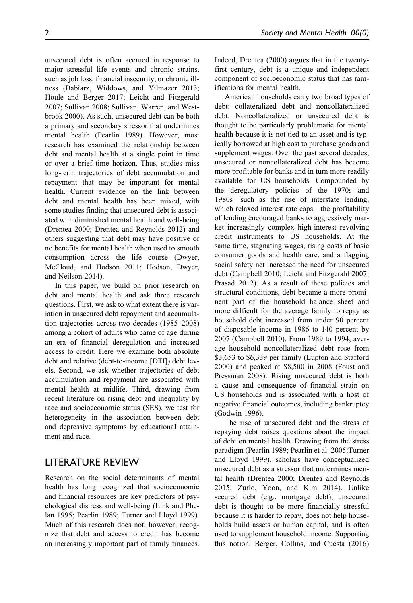unsecured debt is often accrued in response to major stressful life events and chronic strains, such as job loss, financial insecurity, or chronic illness (Babiarz, Widdows, and Yilmazer 2013; Houle and Berger 2017; Leicht and Fitzgerald 2007; Sullivan 2008; Sullivan, Warren, and Westbrook 2000). As such, unsecured debt can be both a primary and secondary stressor that undermines mental health (Pearlin 1989). However, most research has examined the relationship between debt and mental health at a single point in time or over a brief time horizon. Thus, studies miss long-term trajectories of debt accumulation and repayment that may be important for mental health. Current evidence on the link between debt and mental health has been mixed, with some studies finding that unsecured debt is associated with diminished mental health and well-being (Drentea 2000; Drentea and Reynolds 2012) and others suggesting that debt may have positive or no benefits for mental health when used to smooth consumption across the life course (Dwyer, McCloud, and Hodson 2011; Hodson, Dwyer, and Neilson 2014).

In this paper, we build on prior research on debt and mental health and ask three research questions. First, we ask to what extent there is variation in unsecured debt repayment and accumulation trajectories across two decades (1985–2008) among a cohort of adults who came of age during an era of financial deregulation and increased access to credit. Here we examine both absolute debt and relative (debt-to-income [DTI]) debt levels. Second, we ask whether trajectories of debt accumulation and repayment are associated with mental health at midlife. Third, drawing from recent literature on rising debt and inequality by race and socioeconomic status (SES), we test for heterogeneity in the association between debt and depressive symptoms by educational attainment and race.

## LITERATURE REVIEW

Research on the social determinants of mental health has long recognized that socioeconomic and financial resources are key predictors of psychological distress and well-being (Link and Phelan 1995; Pearlin 1989; Turner and Lloyd 1999). Much of this research does not, however, recognize that debt and access to credit has become an increasingly important part of family finances.

Indeed, Drentea (2000) argues that in the twentyfirst century, debt is a unique and independent component of socioeconomic status that has ramifications for mental health.

American households carry two broad types of debt: collateralized debt and noncollateralized debt. Noncollateralized or unsecured debt is thought to be particularly problematic for mental health because it is not tied to an asset and is typically borrowed at high cost to purchase goods and supplement wages. Over the past several decades, unsecured or noncollateralized debt has become more profitable for banks and in turn more readily available for US households. Compounded by the deregulatory policies of the 1970s and 1980s—such as the rise of interstate lending, which relaxed interest rate caps—the profitability of lending encouraged banks to aggressively market increasingly complex high-interest revolving credit instruments to US households. At the same time, stagnating wages, rising costs of basic consumer goods and health care, and a flagging social safety net increased the need for unsecured debt (Campbell 2010; Leicht and Fitzgerald 2007; Prasad 2012). As a result of these policies and structural conditions, debt became a more prominent part of the household balance sheet and more difficult for the average family to repay as household debt increased from under 90 percent of disposable income in 1986 to 140 percent by 2007 (Campbell 2010). From 1989 to 1994, average household noncollateralized debt rose from \$3,653 to \$6,339 per family (Lupton and Stafford 2000) and peaked at \$8,500 in 2008 (Foust and Pressman 2008). Rising unsecured debt is both a cause and consequence of financial strain on US households and is associated with a host of negative financial outcomes, including bankruptcy (Godwin 1996).

The rise of unsecured debt and the stress of repaying debt raises questions about the impact of debt on mental health. Drawing from the stress paradigm (Pearlin 1989; Pearlin et al. 2005;Turner and Lloyd 1999), scholars have conceptualized unsecured debt as a stressor that undermines mental health (Drentea 2000; Drentea and Reynolds 2015; Zurlo, Yoon, and Kim 2014). Unlike secured debt (e.g., mortgage debt), unsecured debt is thought to be more financially stressful because it is harder to repay, does not help households build assets or human capital, and is often used to supplement household income. Supporting this notion, Berger, Collins, and Cuesta (2016)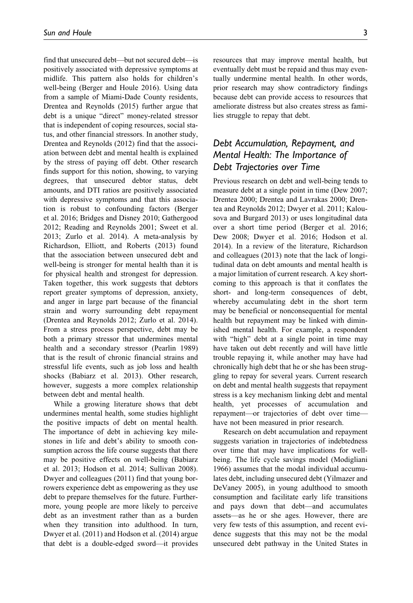find that unsecured debt—but not secured debt—is positively associated with depressive symptoms at midlife. This pattern also holds for children's well-being (Berger and Houle 2016). Using data from a sample of Miami-Dade County residents, Drentea and Reynolds (2015) further argue that debt is a unique "direct" money-related stressor that is independent of coping resources, social status, and other financial stressors. In another study, Drentea and Reynolds (2012) find that the association between debt and mental health is explained by the stress of paying off debt. Other research finds support for this notion, showing, to varying degrees, that unsecured debtor status, debt amounts, and DTI ratios are positively associated with depressive symptoms and that this association is robust to confounding factors (Berger et al. 2016; Bridges and Disney 2010; Gathergood 2012; Reading and Reynolds 2001; Sweet et al. 2013; Zurlo et al. 2014). A meta-analysis by Richardson, Elliott, and Roberts (2013) found that the association between unsecured debt and well-being is stronger for mental health than it is for physical health and strongest for depression. Taken together, this work suggests that debtors report greater symptoms of depression, anxiety, and anger in large part because of the financial strain and worry surrounding debt repayment (Drentea and Reynolds 2012; Zurlo et al. 2014). From a stress process perspective, debt may be both a primary stressor that undermines mental health and a secondary stressor (Pearlin 1989) that is the result of chronic financial strains and stressful life events, such as job loss and health shocks (Babiarz et al. 2013). Other research, however, suggests a more complex relationship between debt and mental health.

While a growing literature shows that debt undermines mental health, some studies highlight the positive impacts of debt on mental health. The importance of debt in achieving key milestones in life and debt's ability to smooth consumption across the life course suggests that there may be positive effects on well-being (Babiarz et al. 2013; Hodson et al. 2014; Sullivan 2008). Dwyer and colleagues (2011) find that young borrowers experience debt as empowering as they use debt to prepare themselves for the future. Furthermore, young people are more likely to perceive debt as an investment rather than as a burden when they transition into adulthood. In turn, Dwyer et al. (2011) and Hodson et al. (2014) argue that debt is a double-edged sword—it provides

resources that may improve mental health, but eventually debt must be repaid and thus may eventually undermine mental health. In other words, prior research may show contradictory findings because debt can provide access to resources that ameliorate distress but also creates stress as families struggle to repay that debt.

# Debt Accumulation, Repayment, and Mental Health: The Importance of Debt Trajectories over Time

Previous research on debt and well-being tends to measure debt at a single point in time (Dew 2007; Drentea 2000; Drentea and Lavrakas 2000; Drentea and Reynolds 2012; Dwyer et al. 2011; Kalousova and Burgard 2013) or uses longitudinal data over a short time period (Berger et al. 2016; Dew 2008; Dwyer et al. 2016; Hodson et al. 2014). In a review of the literature, Richardson and colleagues (2013) note that the lack of longitudinal data on debt amounts and mental health is a major limitation of current research. A key shortcoming to this approach is that it conflates the short- and long-term consequences of debt, whereby accumulating debt in the short term may be beneficial or nonconsequential for mental health but repayment may be linked with diminished mental health. For example, a respondent with "high" debt at a single point in time may have taken out debt recently and will have little trouble repaying it, while another may have had chronically high debt that he or she has been struggling to repay for several years. Current research on debt and mental health suggests that repayment stress is a key mechanism linking debt and mental health, yet processes of accumulation and repayment—or trajectories of debt over time have not been measured in prior research.

Research on debt accumulation and repayment suggests variation in trajectories of indebtedness over time that may have implications for wellbeing. The life cycle savings model (Modigliani 1966) assumes that the modal individual accumulates debt, including unsecured debt (Yilmazer and DeVaney 2005), in young adulthood to smooth consumption and facilitate early life transitions and pays down that debt—and accumulates assets—as he or she ages. However, there are very few tests of this assumption, and recent evidence suggests that this may not be the modal unsecured debt pathway in the United States in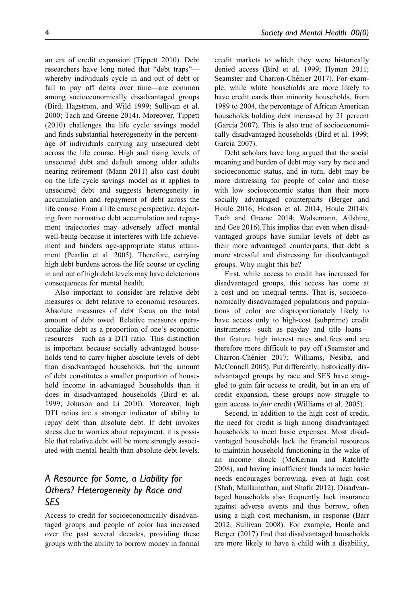an era of credit expansion (Tippett 2010). Debt researchers have long noted that "debt traps" whereby individuals cycle in and out of debt or fail to pay off debts over time—are common among socioeconomically disadvantaged groups (Bird, Hagstrom, and Wild 1999; Sullivan et al. 2000; Tach and Greene 2014). Moreover, Tippett (2010) challenges the life cycle savings model and finds substantial heterogeneity in the percentage of individuals carrying any unsecured debt across the life course. High and rising levels of unsecured debt and default among older adults nearing retirement (Mann 2011) also cast doubt on the life cycle savings model as it applies to unsecured debt and suggests heterogeneity in accumulation and repayment of debt across the life course. From a life course perspective, departing from normative debt accumulation and repayment trajectories may adversely affect mental well-being because it interferes with life achievement and hinders age-appropriate status attainment (Pearlin et al. 2005). Therefore, carrying high debt burdens across the life course or cycling in and out of high debt levels may have deleterious consequences for mental health.

Also important to consider are relative debt measures or debt relative to economic resources. Absolute measures of debt focus on the total amount of debt owed. Relative measures operationalize debt as a proportion of one's economic resources—such as a DTI ratio. This distinction is important because socially advantaged households tend to carry higher absolute levels of debt than disadvantaged households, but the amount of debt constitutes a smaller proportion of household income in advantaged households than it does in disadvantaged households (Bird et al. 1999; Johnson and Li 2010). Moreover, high DTI ratios are a stronger indicator of ability to repay debt than absolute debt. If debt invokes stress due to worries about repayment, it is possible that relative debt will be more strongly associated with mental health than absolute debt levels.

# A Resource for Some, a Liability for Others? Heterogeneity by Race and SES

Access to credit for socioeconomically disadvantaged groups and people of color has increased over the past several decades, providing these groups with the ability to borrow money in formal credit markets to which they were historically denied access (Bird et al. 1999; Hyman 2011; Seamster and Charron-Chénier 2017). For example, while white households are more likely to have credit cards than minority households, from 1989 to 2004, the percentage of African American households holding debt increased by 21 percent (Garcia 2007). This is also true of socioeconomically disadvantaged households (Bird et al. 1999; Garcia 2007).

Debt scholars have long argued that the social meaning and burden of debt may vary by race and socioeconomic status, and in turn, debt may be more distressing for people of color and those with low socioeconomic status than their more socially advantaged counterparts (Berger and Houle 2016; Hodson et al. 2014; Houle 2014b; Tach and Greene 2014; Walsemann, Ailshire, and Gee 2016).This implies that even when disadvantaged groups have similar levels of debt as their more advantaged counterparts, that debt is more stressful and distressing for disadvantaged groups. Why might this be?

First, while access to credit has increased for disadvantaged groups, this access has come at a cost and on unequal terms. That is, socioeconomically disadvantaged populations and populations of color are disproportionately likely to have access only to high-cost (subprime) credit instruments—such as payday and title loans that feature high interest rates and fees and are therefore more difficult to pay off (Seamster and Charron-Chénier 2017; Williams, Nesiba, and McConnell 2005). Put differently, historically disadvantaged groups by race and SES have struggled to gain fair access to credit, but in an era of credit expansion, these groups now struggle to gain access to fair credit (Williams et al. 2005).

Second, in addition to the high cost of credit, the need for credit is high among disadvantaged households to meet basic expenses. Most disadvantaged households lack the financial resources to maintain household functioning in the wake of an income shock (McKernan and Ratcliffe 2008), and having insufficient funds to meet basic needs encourages borrowing, even at high cost (Shah, Mullainathan, and Shafir 2012). Disadvantaged households also frequently lack insurance against adverse events and thus borrow, often using a high cost mechanism, in response (Barr 2012; Sullivan 2008). For example, Houle and Berger (2017) find that disadvantaged households are more likely to have a child with a disability,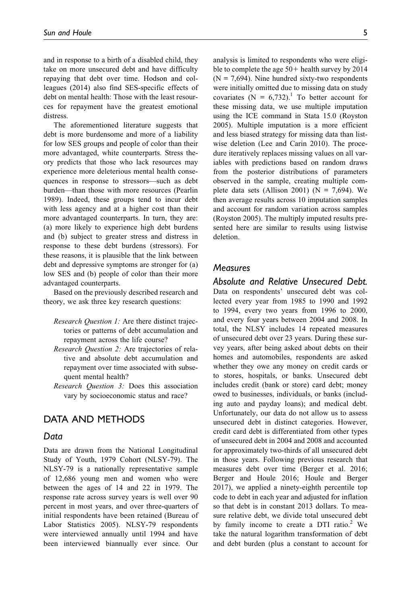and in response to a birth of a disabled child, they take on more unsecured debt and have difficulty repaying that debt over time. Hodson and colleagues (2014) also find SES-specific effects of debt on mental health: Those with the least resources for repayment have the greatest emotional distress.

The aforementioned literature suggests that debt is more burdensome and more of a liability for low SES groups and people of color than their more advantaged, white counterparts. Stress theory predicts that those who lack resources may experience more deleterious mental health consequences in response to stressors—such as debt burden—than those with more resources (Pearlin 1989). Indeed, these groups tend to incur debt with less agency and at a higher cost than their more advantaged counterparts. In turn, they are: (a) more likely to experience high debt burdens and (b) subject to greater stress and distress in response to these debt burdens (stressors). For these reasons, it is plausible that the link between debt and depressive symptoms are stronger for (a) low SES and (b) people of color than their more advantaged counterparts.

Based on the previously described research and theory, we ask three key research questions:

- Research Question 1: Are there distinct trajectories or patterns of debt accumulation and repayment across the life course?
- Research Question 2: Are trajectories of relative and absolute debt accumulation and repayment over time associated with subsequent mental health?
- Research Question 3: Does this association vary by socioeconomic status and race?

# DATA AND METHODS

#### Data

Data are drawn from the National Longitudinal Study of Youth, 1979 Cohort (NLSY-79). The NLSY-79 is a nationally representative sample of 12,686 young men and women who were between the ages of 14 and 22 in 1979. The response rate across survey years is well over 90 percent in most years, and over three-quarters of initial respondents have been retained (Bureau of Labor Statistics 2005). NLSY-79 respondents were interviewed annually until 1994 and have been interviewed biannually ever since. Our analysis is limited to respondents who were eligible to complete the age  $50+$  health survey by 2014  $(N = 7,694)$ . Nine hundred sixty-two respondents were initially omitted due to missing data on study covariates (N =  $6,732$ ).<sup>1</sup> To better account for these missing data, we use multiple imputation using the ICE command in Stata 15.0 (Royston 2005). Multiple imputation is a more efficient and less biased strategy for missing data than listwise deletion (Lee and Carin 2010). The procedure iteratively replaces missing values on all variables with predictions based on random draws from the posterior distributions of parameters observed in the sample, creating multiple complete data sets (Allison 2001) ( $N = 7,694$ ). We then average results across 10 imputation samples and account for random variation across samples (Royston 2005). The multiply imputed results presented here are similar to results using listwise deletion.

#### **Measures**

Absolute and Relative Unsecured Debt. Data on respondents' unsecured debt was col-

lected every year from 1985 to 1990 and 1992 to 1994, every two years from 1996 to 2000, and every four years between 2004 and 2008. In total, the NLSY includes 14 repeated measures of unsecured debt over 23 years. During these survey years, after being asked about debts on their homes and automobiles, respondents are asked whether they owe any money on credit cards or to stores, hospitals, or banks. Unsecured debt includes credit (bank or store) card debt; money owed to businesses, individuals, or banks (including auto and payday loans); and medical debt. Unfortunately, our data do not allow us to assess unsecured debt in distinct categories. However, credit card debt is differentiated from other types of unsecured debt in 2004 and 2008 and accounted for approximately two-thirds of all unsecured debt in those years. Following previous research that measures debt over time (Berger et al. 2016; Berger and Houle 2016; Houle and Berger 2017), we applied a ninety-eighth percentile top code to debt in each year and adjusted for inflation so that debt is in constant 2013 dollars. To measure relative debt, we divide total unsecured debt by family income to create a DTI ratio.<sup>2</sup> We take the natural logarithm transformation of debt and debt burden (plus a constant to account for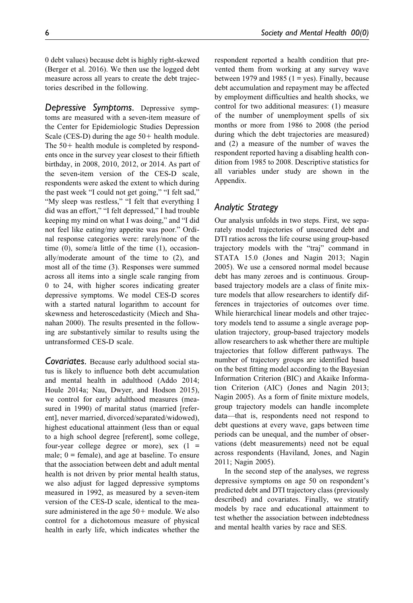0 debt values) because debt is highly right-skewed (Berger et al. 2016). We then use the logged debt measure across all years to create the debt trajectories described in the following.

Depressive Symptoms. Depressive symptoms are measured with a seven-item measure of the Center for Epidemiologic Studies Depression Scale (CES-D) during the age  $50+$  health module. The  $50+$  health module is completed by respondents once in the survey year closest to their fiftieth birthday, in 2008, 2010, 2012, or 2014. As part of the seven-item version of the CES-D scale, respondents were asked the extent to which during the past week "I could not get going," "I felt sad," "My sleep was restless," "I felt that everything I did was an effort," "I felt depressed," I had trouble keeping my mind on what I was doing," and "I did not feel like eating/my appetite was poor." Ordinal response categories were: rarely/none of the time (0), some/a little of the time (1), occasionally/moderate amount of the time to (2), and most all of the time (3). Responses were summed across all items into a single scale ranging from 0 to 24, with higher scores indicating greater depressive symptoms. We model CES-D scores with a started natural logarithm to account for skewness and heteroscedasticity (Miech and Shanahan 2000). The results presented in the following are substantively similar to results using the untransformed CES-D scale.

Covariates. Because early adulthood social status is likely to influence both debt accumulation and mental health in adulthood (Addo 2014; Houle 2014a; Nau, Dwyer, and Hodson 2015), we control for early adulthood measures (measured in 1990) of marital status (married [referent], never married, divorced/separated/widowed), highest educational attainment (less than or equal to a high school degree [referent], some college, four-year college degree or more), sex  $(1 =$ male;  $0 =$  female), and age at baseline. To ensure that the association between debt and adult mental health is not driven by prior mental health status, we also adjust for lagged depressive symptoms measured in 1992, as measured by a seven-item version of the CES-D scale, identical to the measure administered in the age  $50+$  module. We also control for a dichotomous measure of physical health in early life, which indicates whether the respondent reported a health condition that prevented them from working at any survey wave between 1979 and 1985  $(1 = yes)$ . Finally, because debt accumulation and repayment may be affected by employment difficulties and health shocks, we control for two additional measures: (1) measure of the number of unemployment spells of six months or more from 1986 to 2008 (the period during which the debt trajectories are measured) and (2) a measure of the number of waves the respondent reported having a disabling health condition from 1985 to 2008. Descriptive statistics for all variables under study are shown in the Appendix.

### Analytic Strategy

Our analysis unfolds in two steps. First, we separately model trajectories of unsecured debt and DTI ratios across the life course using group-based trajectory models with the "traj" command in STATA 15.0 (Jones and Nagin 2013; Nagin 2005). We use a censored normal model because debt has many zeroes and is continuous. Groupbased trajectory models are a class of finite mixture models that allow researchers to identify differences in trajectories of outcomes over time. While hierarchical linear models and other trajectory models tend to assume a single average population trajectory, group-based trajectory models allow researchers to ask whether there are multiple trajectories that follow different pathways. The number of trajectory groups are identified based on the best fitting model according to the Bayesian Information Criterion (BIC) and Akaike Information Criterion (AIC) (Jones and Nagin 2013; Nagin 2005). As a form of finite mixture models, group trajectory models can handle incomplete data—that is, respondents need not respond to debt questions at every wave, gaps between time periods can be unequal, and the number of observations (debt measurements) need not be equal across respondents (Haviland, Jones, and Nagin 2011; Nagin 2005).

In the second step of the analyses, we regress depressive symptoms on age 50 on respondent's predicted debt and DTI trajectory class (previously described) and covariates. Finally, we stratify models by race and educational attainment to test whether the association between indebtedness and mental health varies by race and SES.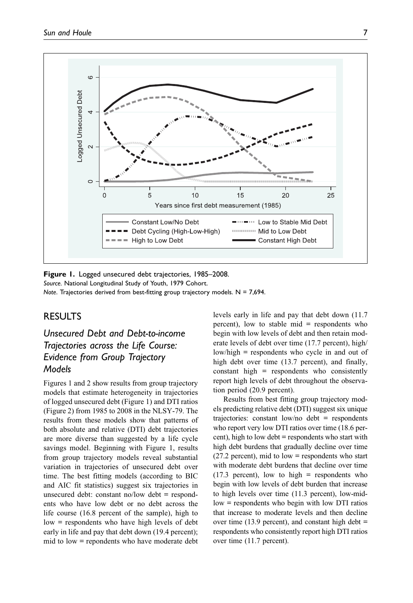

Figure 1. Logged unsecured debt trajectories, 1985-2008. Source. National Longitudinal Study of Youth, 1979 Cohort. Note. Trajectories derived from best-fitting group trajectory models.  $N = 7,694$ .

# RESULTS

Unsecured Debt and Debt-to-income Trajectories across the Life Course: Evidence from Group Trajectory Models

Figures 1 and 2 show results from group trajectory models that estimate heterogeneity in trajectories of logged unsecured debt (Figure 1) and DTI ratios (Figure 2) from 1985 to 2008 in the NLSY-79. The results from these models show that patterns of both absolute and relative (DTI) debt trajectories are more diverse than suggested by a life cycle savings model. Beginning with Figure 1, results from group trajectory models reveal substantial variation in trajectories of unsecured debt over time. The best fitting models (according to BIC and AIC fit statistics) suggest six trajectories in unsecured debt: constant no/low debt = respondents who have low debt or no debt across the life course (16.8 percent of the sample), high to low = respondents who have high levels of debt early in life and pay that debt down (19.4 percent); mid to low = repondents who have moderate debt levels early in life and pay that debt down (11.7 percent), low to stable mid = respondents who begin with low levels of debt and then retain moderate levels of debt over time (17.7 percent), high/ low/high = respondents who cycle in and out of high debt over time (13.7 percent), and finally, constant high = respondents who consistently report high levels of debt throughout the observation period (20.9 percent).

Results from best fitting group trajectory models predicting relative debt (DTI) suggest six unique trajectories: constant low/no debt = respondents who report very low DTI ratios over time (18.6 percent), high to low debt = respondents who start with high debt burdens that gradually decline over time  $(27.2 \text{ percent})$ , mid to low = respondents who start with moderate debt burdens that decline over time  $(17.3)$  percent), low to high = respondents who begin with low levels of debt burden that increase to high levels over time (11.3 percent), low-midlow = respondents who begin with low DTI ratios that increase to moderate levels and then decline over time  $(13.9 \text{ percent})$ , and constant high debt = respondents who consistently report high DTI ratios over time (11.7 percent).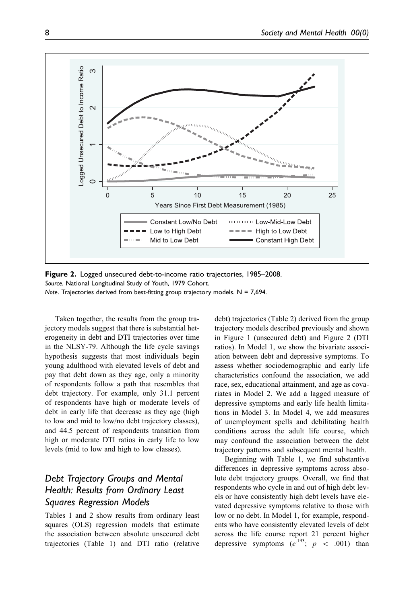

Figure 2. Logged unsecured debt-to-income ratio trajectories, 1985–2008. Source. National Longitudinal Study of Youth, 1979 Cohort. Note. Trajectories derived from best-fitting group trajectory models.  $N = 7,694$ .

Taken together, the results from the group trajectory models suggest that there is substantial heterogeneity in debt and DTI trajectories over time in the NLSY-79. Although the life cycle savings hypothesis suggests that most individuals begin young adulthood with elevated levels of debt and pay that debt down as they age, only a minority of respondents follow a path that resembles that debt trajectory. For example, only 31.1 percent of respondents have high or moderate levels of debt in early life that decrease as they age (high to low and mid to low/no debt trajectory classes), and 44.5 percent of respondents transition from high or moderate DTI ratios in early life to low levels (mid to low and high to low classes).

# Debt Trajectory Groups and Mental Health: Results from Ordinary Least Squares Regression Models

Tables 1 and 2 show results from ordinary least squares (OLS) regression models that estimate the association between absolute unsecured debt trajectories (Table 1) and DTI ratio (relative

debt) trajectories (Table 2) derived from the group trajectory models described previously and shown in Figure 1 (unsecured debt) and Figure 2 (DTI ratios). In Model 1, we show the bivariate association between debt and depressive symptoms. To assess whether sociodemographic and early life characteristics confound the association, we add race, sex, educational attainment, and age as covariates in Model 2. We add a lagged measure of depressive symptoms and early life health limitations in Model 3. In Model 4, we add measures of unemployment spells and debilitating health conditions across the adult life course, which may confound the association between the debt trajectory patterns and subsequent mental health.

Beginning with Table 1, we find substantive differences in depressive symptoms across absolute debt trajectory groups. Overall, we find that respondents who cycle in and out of high debt levels or have consistently high debt levels have elevated depressive symptoms relative to those with low or no debt. In Model 1, for example, respondents who have consistently elevated levels of debt across the life course report 21 percent higher depressive symptoms  $(e^{.193}; p < .001)$  than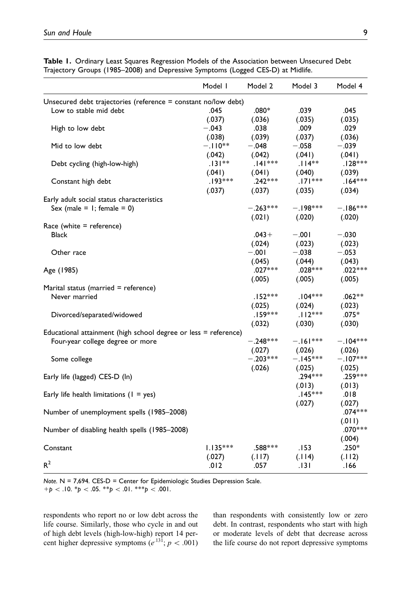| Trajectory Groups (1985–2008) and Depressive Symptoms (Logged CES-D) at Midlife. | Model I    | Model 2    | Model 3    | Model 4    |
|----------------------------------------------------------------------------------|------------|------------|------------|------------|
|                                                                                  |            |            |            |            |
| Unsecured debt trajectories (reference = constant no/low debt)                   |            |            |            |            |
| Low to stable mid debt                                                           | .045       | $.080*$    | .039       | .045       |
|                                                                                  | (.037)     | (.036)     | (.035)     | (.035)     |
| High to low debt                                                                 | $-.043$    | .038       | .009       | .029       |
|                                                                                  | (.038)     | (.039)     | (.037)     | (.036)     |
| Mid to low debt                                                                  | $-.110**$  | $-.048$    | $-.058$    | $-.039$    |
|                                                                                  | (.042)     | (.042)     | (.041)     | (.041)     |
| Debt cycling (high-low-high)                                                     | $.131**$   | $.141***$  | $.114**$   | $.128***$  |
|                                                                                  | (.041)     | (.041)     | (.040)     | (.039)     |
| Constant high debt                                                               | $.193***$  | $.242***$  | $.171***$  | $.164***$  |
|                                                                                  | (.037)     | (.037)     | (.035)     | (.034)     |
| Early adult social status characteristics                                        |            |            |            |            |
| Sex (male = $1$ ; female = 0)                                                    |            | $-.263***$ | $-.198***$ | $-.186***$ |
|                                                                                  |            | (.021)     | (.020)     | (.020)     |
| Race (white = reference)                                                         |            |            |            |            |
| <b>Black</b>                                                                     |            | $.043+$    | $-.001$    | $-.030$    |
|                                                                                  |            | (.024)     | (.023)     | (.023)     |
| Other race                                                                       |            | $-.001$    | $-.038$    | $-.053$    |
|                                                                                  |            | (.045)     | (.044)     | (.043)     |
| Age (1985)                                                                       |            | $.027***$  | $.028***$  | $.022***$  |
|                                                                                  |            | (.005)     | (.005)     | (.005)     |
| Marital status (married = reference)                                             |            |            |            |            |
| Never married                                                                    |            | $.152***$  | $.104***$  | $.062**$   |
|                                                                                  |            | (.025)     | (.024)     | (.023)     |
| Divorced/separated/widowed                                                       |            | $.159***$  | $.112***$  | $.075*$    |
|                                                                                  |            | (.032)     | (.030)     | (.030)     |
| Educational attainment (high school degree or less = reference)                  |            |            |            |            |
| Four-year college degree or more                                                 |            | $-.248***$ | $-.161***$ | $-.104***$ |
|                                                                                  |            | (.027)     | (.026)     | (.026)     |
| Some college                                                                     |            | $-.203***$ | $-.145***$ | $-.107***$ |
|                                                                                  |            | (.026)     | (.025)     | (.025)     |
| Early life (lagged) CES-D (ln)                                                   |            |            | $.294***$  | .259 ***   |
|                                                                                  |            |            | (.013)     | (.013)     |
| Early life health limitations $(1 = yes)$                                        |            |            | $.145***$  | .018       |
|                                                                                  |            |            | (.027)     | (.027)     |
| Number of unemployment spells (1985-2008)                                        |            |            |            | $.074***$  |
|                                                                                  |            |            |            | (.011)     |
| Number of disabling health spells (1985-2008)                                    |            |            |            | $.070***$  |
|                                                                                  |            |            |            | (.004)     |
| Constant                                                                         | $1.135***$ | .588***    | .153       | $.250*$    |
|                                                                                  |            |            |            |            |

(.027)

 $R^2$  .012 .057 .131 .166

(.117)

Table 1. Ordinary Least Squares Regression Models of the Association between Unsecured Debt<br>Trainetage Crosses (1995-2009) and Deceaseirs Supertages (Lagas) CFS D) at Midlife Trajectory Groups (1985–2008) and Depressive Symptoms (Logged CES-D) at Midlife.

Note. N = 7,694. CES-D = Center for Epidemiologic Studies Depression Scale.  $+p \lt.10.$  \*p  $\lt.05.$  \*\*p  $\lt.01.$  \*\*\*p  $\lt.001$ .

respondents who report no or low debt across the life course. Similarly, those who cycle in and out of high debt levels (high-low-high) report 14 percent higher depressive symptoms  $(e^{.131}; p < .001)$  than respondents with consistently low or zero debt. In contrast, respondents who start with high or moderate levels of debt that decrease across the life course do not report depressive symptoms

(.114)

(.112)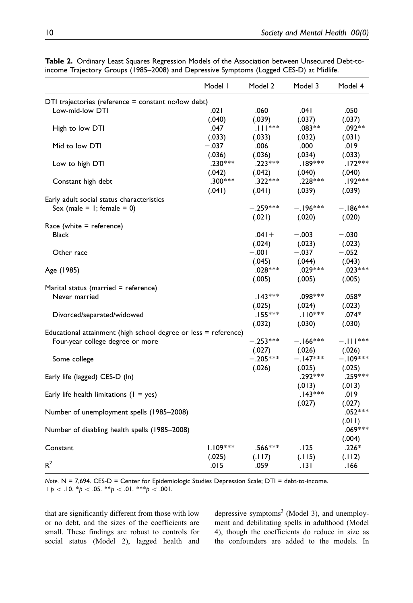|                                                                 | Model I    | Model 2       | Model 3    | Model 4    |
|-----------------------------------------------------------------|------------|---------------|------------|------------|
| DTI trajectories (reference = constant no/low debt)             |            |               |            |            |
| Low-mid-low DTI                                                 | .021       | .060          | .041       | .050       |
|                                                                 | (.040)     | (.039)        | (.037)     | (.037)     |
| High to low DTI                                                 | .047       | $.$     $***$ | $.083**$   | $.092**$   |
|                                                                 | (.033)     | (.033)        | (.032)     | (.031)     |
| Mid to low DTI                                                  | $-.037$    | .006          | .000       | .019       |
|                                                                 | (.036)     | (.036)        | (.034)     | (.033)     |
| Low to high DTI                                                 | $.230***$  | $.223***$     | $.189***$  | $.172***$  |
|                                                                 | (.042)     | (.042)        | (.040)     | (.040)     |
| Constant high debt                                              | $.300***$  | $.322***$     | $.228***$  | $.192***$  |
|                                                                 | (.041)     | (.041)        | (.039)     | (.039)     |
| Early adult social status characteristics                       |            |               |            |            |
| Sex (male = $1$ ; female = 0)                                   |            | $-.259***$    | $-.196***$ | $-.186***$ |
|                                                                 |            | (.021)        | (.020)     | (.020)     |
| Race (white $=$ reference)                                      |            |               |            |            |
| Black                                                           |            | $.041 +$      | $-.003$    | $-.030$    |
|                                                                 |            | (.024)        | (.023)     | (.023)     |
| Other race                                                      |            | $-0.01$       | $-.037$    | $-.052$    |
|                                                                 |            |               |            |            |
|                                                                 |            | (.045)        | (.044)     | (.043)     |
| Age (1985)                                                      |            | $.028***$     | $.029***$  | $.023***$  |
|                                                                 |            | (.005)        | (.005)     | (.005)     |
| Marital status (married = reference)                            |            |               |            |            |
| Never married                                                   |            | $.143***$     | $.098***$  | $.058*$    |
|                                                                 |            | (.025)        | (.024)     | (.023)     |
| Divorced/separated/widowed                                      |            | $.155***$     | $.110***$  | $.074*$    |
|                                                                 |            | (.032)        | (.030)     | (.030)     |
| Educational attainment (high school degree or less = reference) |            |               |            |            |
| Four-year college degree or more                                |            | $-.253***$    | $-.166***$ | $-.111***$ |
|                                                                 |            | (.027)        | (.026)     | (.026)     |
| Some college                                                    |            | $-.205***$    | $-.147***$ | $-.109***$ |
|                                                                 |            | (.026)        | (.025)     | (.025)     |
| Early life (lagged) CES-D (ln)                                  |            |               | .292***    | .259***    |
|                                                                 |            |               | (.013)     | (.013)     |
| Early life health limitations $(1 = yes)$                       |            |               | $.143***$  | .019       |
|                                                                 |            |               | (.027)     | (.027)     |
| Number of unemployment spells (1985-2008)                       |            |               |            | $.052***$  |
|                                                                 |            |               |            | (.011)     |
| Number of disabling health spells (1985-2008)                   |            |               |            | $.069***$  |
|                                                                 |            |               |            | (.004)     |
| Constant                                                        | $1.109***$ | .566***       | .125       | $.226*$    |
|                                                                 | (.025)     | (.117)        | (.115)     | (.112)     |
| $R^2$                                                           | .015       | .059          | .131       | .166       |
|                                                                 |            |               |            |            |

Table 2. Ordinary Least Squares Regression Models of the Association between Unsecured Debt-toincome Trajectory Groups (1985–2008) and Depressive Symptoms (Logged CES-D) at Midlife.

Note. N = 7,694. CES-D = Center for Epidemiologic Studies Depression Scale; DTI = debt-to-income.  $+p \lt.10.$  \*p  $\lt.05.$  \*\*p  $\lt.01.$  \*\*\*p  $\lt.001$ .

that are significantly different from those with low or no debt, and the sizes of the coefficients are small. These findings are robust to controls for social status (Model 2), lagged health and depressive symptoms<sup>3</sup> (Model 3), and unemployment and debilitating spells in adulthood (Model 4), though the coefficients do reduce in size as the confounders are added to the models. In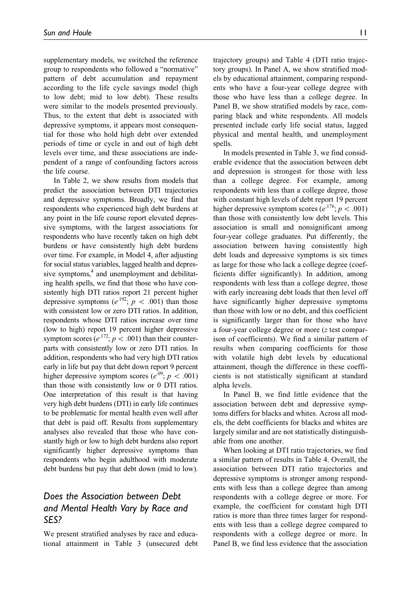supplementary models, we switched the reference group to respondents who followed a "normative" pattern of debt accumulation and repayment according to the life cycle savings model (high to low debt; mid to low debt). These results were similar to the models presented previously. Thus, to the extent that debt is associated with depressive symptoms, it appears most consequential for those who hold high debt over extended periods of time or cycle in and out of high debt levels over time, and these associations are independent of a range of confounding factors across the life course.

In Table 2, we show results from models that predict the association between DTI trajectories and depressive symptoms. Broadly, we find that respondents who experienced high debt burdens at any point in the life course report elevated depressive symptoms, with the largest associations for respondents who have recently taken on high debt burdens or have consistently high debt burdens over time. For example, in Model 4, after adjusting for social status variables, lagged health and depressive symptoms,<sup>4</sup> and unemployment and debilitating health spells, we find that those who have consistently high DTI ratios report 21 percent higher depressive symptoms ( $e^{192}$ ;  $p < .001$ ) than those with consistent low or zero DTI ratios. In addition, respondents whose DTI ratios increase over time (low to high) report 19 percent higher depressive symptom scores ( $e^{.172}$ ;  $p < .001$ ) than their counterparts with consistently low or zero DTI ratios. In addition, respondents who had very high DTI ratios early in life but pay that debt down report 9 percent higher depressive symptom scores ( $e^{0.09}$ ;  $p < .001$ ) than those with consistently low or 0 DTI ratios. One interpretation of this result is that having very high debt burdens (DTI) in early life continues to be problematic for mental health even well after that debt is paid off. Results from supplementary analyses also revealed that those who have constantly high or low to high debt burdens also report significantly higher depressive symptoms than respondents who begin adulthood with moderate debt burdens but pay that debt down (mid to low).

## Does the Association between Debt and Mental Health Vary by Race and SES?

We present stratified analyses by race and educational attainment in Table 3 (unsecured debt trajectory groups) and Table 4 (DTI ratio trajectory groups). In Panel A, we show stratified mod-

els by educational attainment, comparing respondents who have a four-year college degree with those who have less than a college degree. In Panel B, we show stratified models by race, comparing black and white respondents. All models presented include early life social status, lagged physical and mental health, and unemployment spells.

In models presented in Table 3, we find considerable evidence that the association between debt and depression is strongest for those with less than a college degree. For example, among respondents with less than a college degree, those with constant high levels of debt report 19 percent higher depressive symptom scores ( $e^{.176}$ ;  $p < .001$ ) than those with consistently low debt levels. This association is small and nonsignificant among four-year college graduates. Put differently, the association between having consistently high debt loads and depressive symptoms is six times as large for those who lack a college degree (coefficients differ significantly). In addition, among respondents with less than a college degree, those with early increasing debt loads that then level off have significantly higher depressive symptoms than those with low or no debt, and this coefficient is significantly larger than for those who have a four-year college degree or more (z test comparison of coefficients). We find a similar pattern of results when comparing coefficients for those with volatile high debt levels by educational attainment, though the difference in these coefficients is not statistically significant at standard alpha levels.

In Panel B, we find little evidence that the association between debt and depressive symptoms differs for blacks and whites. Across all models, the debt coefficients for blacks and whites are largely similar and are not statistically distinguishable from one another.

When looking at DTI ratio trajectories, we find a similar pattern of results in Table 4. Overall, the association between DTI ratio trajectories and depressive symptoms is stronger among respondents with less than a college degree than among respondents with a college degree or more. For example, the coefficient for constant high DTI ratios is more than three times larger for respondents with less than a college degree compared to respondents with a college degree or more. In Panel B, we find less evidence that the association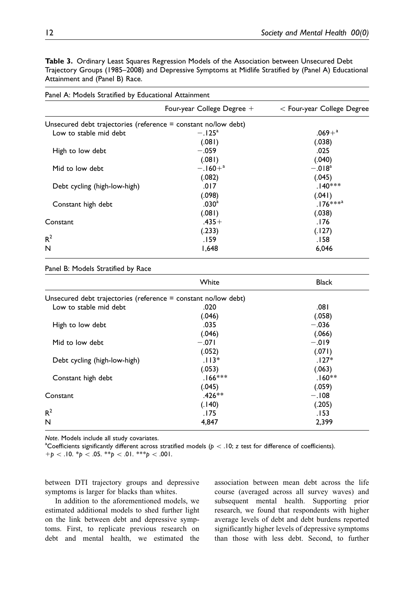Table 3. Ordinary Least Squares Regression Models of the Association between Unsecured Debt Trajectory Groups (1985–2008) and Depressive Symptoms at Midlife Stratified by (Panel A) Educational Attainment and (Panel B) Race.

| Farier A. Progets Stratified by Educational Attainment           | Four-year College Degree $+$ | $<$ Four-year College Degree |
|------------------------------------------------------------------|------------------------------|------------------------------|
|                                                                  |                              |                              |
| Unsecured debt trajectories (reference $=$ constant no/low debt) |                              |                              |
| Low to stable mid debt                                           | $-.125^{\rm a}$              | $.069 + ^a$                  |
|                                                                  | (.081)                       | (.038)                       |
| High to low debt                                                 | $-.059$                      | .025                         |
|                                                                  | (.081)                       | (.040)                       |
| Mid to low debt                                                  | $-.160 + ^{a}$               | $-.018a$                     |
|                                                                  | (.082)                       | (.045)                       |
| Debt cycling (high-low-high)                                     | .017                         | $.140***$                    |
|                                                                  | (.098)                       | (.041)                       |
| Constant high debt                                               | .030 <sup>a</sup>            | $.176***^{a}$                |
|                                                                  | (.081)                       | (.038)                       |
| Constant                                                         | $.435+$                      | 176.                         |
|                                                                  | (.233)                       | (.127)                       |
| R <sup>2</sup>                                                   | 159.                         | 158.                         |
| N                                                                | 1,648                        | 6,046                        |

Panel A: Models Stratified by Educational Attainment

Panel B: Models Stratified by Race

|                                                                  | White     | <b>Black</b> |
|------------------------------------------------------------------|-----------|--------------|
| Unsecured debt trajectories (reference $=$ constant no/low debt) |           |              |
| Low to stable mid debt                                           | .020      | .081         |
|                                                                  | (.046)    | (.058)       |
| High to low debt                                                 | .035      | $-.036$      |
|                                                                  | (.046)    | (.066)       |
| Mid to low debt                                                  | $-.071$   | $-.019$      |
|                                                                  | (.052)    | (.071)       |
| Debt cycling (high-low-high)                                     | $.113*$   | $.127*$      |
|                                                                  | (.053)    | (.063)       |
| Constant high debt                                               | $.166***$ | $.160**$     |
|                                                                  | (.045)    | (.059)       |
| Constant                                                         | $.426**$  | $-.108$      |
|                                                                  | (.140)    | (.205)       |
| $R^2$                                                            | .175      | .153         |
| N                                                                | 4,847     | 2,399        |

Note. Models include all study covariates.

<sup>a</sup>Coefficients significantly different across stratified models ( $p < .10$ ; z test for difference of coefficients).  $+p < .10.$  \*p  $< .05.$  \*\*p  $< .01.$  \*\*\*p  $< .001.$ 

between DTI trajectory groups and depressive symptoms is larger for blacks than whites.

In addition to the aforementioned models, we estimated additional models to shed further light on the link between debt and depressive symptoms. First, to replicate previous research on debt and mental health, we estimated the association between mean debt across the life course (averaged across all survey waves) and subsequent mental health. Supporting prior research, we found that respondents with higher average levels of debt and debt burdens reported significantly higher levels of depressive symptoms than those with less debt. Second, to further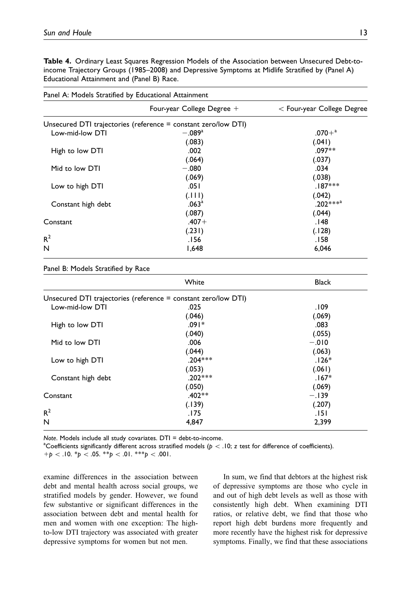Table 4. Ordinary Least Squares Regression Models of the Association between Unsecured Debt-toincome Trajectory Groups (1985–2008) and Depressive Symptoms at Midlife Stratified by (Panel A) Educational Attainment and (Panel B) Race.

| Panel A: Models Stratified by Educational Attainment |                                                                |                              |  |
|------------------------------------------------------|----------------------------------------------------------------|------------------------------|--|
|                                                      | Four-year College Degree $+$                                   | $<$ Four-year College Degree |  |
|                                                      | Unsecured DTI trajectories (reference = constant zero/low DTI) |                              |  |
| Low-mid-low DTI                                      | $-.089a$                                                       | $.070 + ^{a}$                |  |
|                                                      | (.083)                                                         | (.041)                       |  |
| High to low DTI                                      | .002                                                           | $.097**$                     |  |
|                                                      | (.064)                                                         | (.037)                       |  |
| Mid to low DTI                                       | $-.080$                                                        | .034                         |  |
|                                                      | (.069)                                                         | (.038)                       |  |
| Low to high DTI                                      | .051                                                           | $.187***$                    |  |
|                                                      | (111)                                                          | (.042)                       |  |
| Constant high debt                                   | .063 <sup>a</sup>                                              | $.202***^{a}$                |  |
|                                                      | (.087)                                                         | (.044)                       |  |
| Constant                                             | $.407 +$                                                       | 148.                         |  |
|                                                      | (.231)                                                         | (.128)                       |  |
| $R^2$                                                | 56.                                                            | 158.                         |  |
| N                                                    | 648, ا                                                         | 6,046                        |  |

Panel B: Models Stratified by Race

|                                                                | White     | <b>Black</b> |
|----------------------------------------------------------------|-----------|--------------|
| Unsecured DTI trajectories (reference = constant zero/low DTI) |           |              |
| Low-mid-low DTI                                                | .025      | .109         |
|                                                                | (.046)    | (.069)       |
| High to low DTI                                                | $.091*$   | .083         |
|                                                                | (.040)    | (.055)       |
| Mid to low DTI                                                 | .006      | $-.010$      |
|                                                                | (.044)    | (.063)       |
| Low to high DTI                                                | $.204***$ | 126*.        |
|                                                                | (.053)    | (.061)       |
| Constant high debt                                             | $.202***$ | $.167*$      |
|                                                                | (.050)    | (.069)       |
| Constant                                                       | $.402**$  | $-.139$      |
|                                                                | (.139)    | (.207)       |
| $R^2$                                                          | .175      | . 151        |
| N                                                              | 4,847     | 2,399        |

Note. Models include all study covariates.  $DTI = debt-to-income$ .

<sup>a</sup>Coefficients significantly different across stratified models ( $p < .10$ ; z test for difference of coefficients).  $+p < .10.$  \*p  $< .05.$  \*\*p  $< .01.$  \*\*\*p  $< .001.$ 

examine differences in the association between debt and mental health across social groups, we stratified models by gender. However, we found few substantive or significant differences in the association between debt and mental health for men and women with one exception: The highto-low DTI trajectory was associated with greater depressive symptoms for women but not men.

In sum, we find that debtors at the highest risk of depressive symptoms are those who cycle in and out of high debt levels as well as those with consistently high debt. When examining DTI ratios, or relative debt, we find that those who report high debt burdens more frequently and more recently have the highest risk for depressive symptoms. Finally, we find that these associations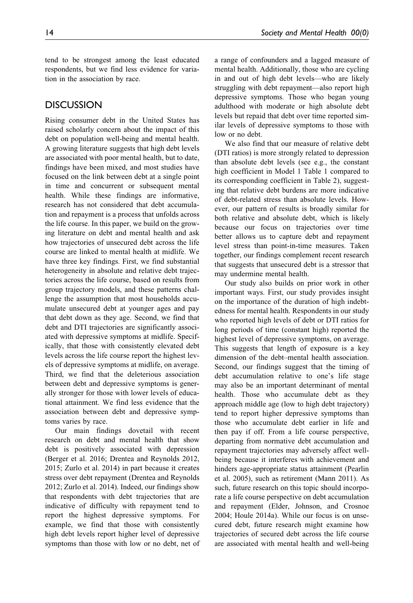tend to be strongest among the least educated respondents, but we find less evidence for variation in the association by race.

## **DISCUSSION**

Rising consumer debt in the United States has raised scholarly concern about the impact of this debt on population well-being and mental health. A growing literature suggests that high debt levels are associated with poor mental health, but to date, findings have been mixed, and most studies have focused on the link between debt at a single point in time and concurrent or subsequent mental health. While these findings are informative, research has not considered that debt accumulation and repayment is a process that unfolds across the life course. In this paper, we build on the growing literature on debt and mental health and ask how trajectories of unsecured debt across the life course are linked to mental health at midlife. We have three key findings. First, we find substantial heterogeneity in absolute and relative debt trajectories across the life course, based on results from group trajectory models, and these patterns challenge the assumption that most households accumulate unsecured debt at younger ages and pay that debt down as they age. Second, we find that debt and DTI trajectories are significantly associated with depressive symptoms at midlife. Specifically, that those with consistently elevated debt levels across the life course report the highest levels of depressive symptoms at midlife, on average. Third, we find that the deleterious association between debt and depressive symptoms is generally stronger for those with lower levels of educational attainment. We find less evidence that the association between debt and depressive symptoms varies by race.

Our main findings dovetail with recent research on debt and mental health that show debt is positively associated with depression (Berger et al. 2016; Drentea and Reynolds 2012, 2015; Zurlo et al. 2014) in part because it creates stress over debt repayment (Drentea and Reynolds 2012; Zurlo et al. 2014). Indeed, our findings show that respondents with debt trajectories that are indicative of difficulty with repayment tend to report the highest depressive symptoms. For example, we find that those with consistently high debt levels report higher level of depressive symptoms than those with low or no debt, net of a range of confounders and a lagged measure of mental health. Additionally, those who are cycling in and out of high debt levels—who are likely struggling with debt repayment—also report high depressive symptoms. Those who began young adulthood with moderate or high absolute debt levels but repaid that debt over time reported similar levels of depressive symptoms to those with low or no debt.

We also find that our measure of relative debt (DTI ratios) is more strongly related to depression than absolute debt levels (see e.g., the constant high coefficient in Model 1 Table 1 compared to its corresponding coefficient in Table 2), suggesting that relative debt burdens are more indicative of debt-related stress than absolute levels. However, our pattern of results is broadly similar for both relative and absolute debt, which is likely because our focus on trajectories over time better allows us to capture debt and repayment level stress than point-in-time measures. Taken together, our findings complement recent research that suggests that unsecured debt is a stressor that may undermine mental health.

Our study also builds on prior work in other important ways. First, our study provides insight on the importance of the duration of high indebtedness for mental health. Respondents in our study who reported high levels of debt or DTI ratios for long periods of time (constant high) reported the highest level of depressive symptoms, on average. This suggests that length of exposure is a key dimension of the debt–mental health association. Second, our findings suggest that the timing of debt accumulation relative to one's life stage may also be an important determinant of mental health. Those who accumulate debt as they approach middle age (low to high debt trajectory) tend to report higher depressive symptoms than those who accumulate debt earlier in life and then pay if off. From a life course perspective, departing from normative debt accumulation and repayment trajectories may adversely affect wellbeing because it interferes with achievement and hinders age-appropriate status attainment (Pearlin et al. 2005), such as retirement (Mann 2011). As such, future research on this topic should incorporate a life course perspective on debt accumulation and repayment (Elder, Johnson, and Crosnoe 2004; Houle 2014a). While our focus is on unsecured debt, future research might examine how trajectories of secured debt across the life course are associated with mental health and well-being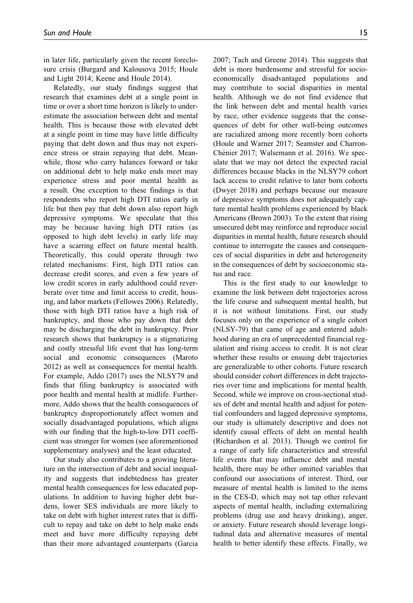in later life, particularly given the recent foreclosure crisis (Burgard and Kalousova 2015; Houle and Light 2014; Keene and Houle 2014).

Relatedly, our study findings suggest that research that examines debt at a single point in time or over a short time horizon is likely to underestimate the association between debt and mental health. This is because those with elevated debt at a single point in time may have little difficulty paying that debt down and thus may not experience stress or strain repaying that debt. Meanwhile, those who carry balances forward or take on additional debt to help make ends meet may experience stress and poor mental health as a result. One exception to these findings is that respondents who report high DTI ratios early in life but then pay that debt down also report high depressive symptoms. We speculate that this may be because having high DTI ratios (as opposed to high debt levels) in early life may have a scarring effect on future mental health. Theoretically, this could operate through two related mechanisms: First, high DTI ratios can decrease credit scores, and even a few years of low credit scores in early adulthood could reverberate over time and limit access to credit, housing, and labor markets (Fellowes 2006). Relatedly, those with high DTI ratios have a high risk of bankruptcy, and those who pay down that debt may be discharging the debt in bankruptcy. Prior research shows that bankruptcy is a stigmatizing and costly stressful life event that has long-term social and economic consequences (Maroto 2012) as well as consequences for mental health. For example, Addo (2017) uses the NLSY79 and finds that filing bankruptcy is associated with poor health and mental health at midlife. Furthermore, Addo shows that the health consequences of bankruptcy disproportionately affect women and socially disadvantaged populations, which aligns with our finding that the high-to-low DTI coefficient was stronger for women (see aforementioned supplementary analyses) and the least educated.

Our study also contributes to a growing literature on the intersection of debt and social inequality and suggests that indebtedness has greater mental health consequences for less educated populations. In addition to having higher debt burdens, lower SES individuals are more likely to take on debt with higher interest rates that is difficult to repay and take on debt to help make ends meet and have more difficulty repaying debt than their more advantaged counterparts (Garcia 2007; Tach and Greene 2014). This suggests that debt is more burdensome and stressful for socioeconomically disadvantaged populations and may contribute to social disparities in mental health. Although we do not find evidence that the link between debt and mental health varies by race, other evidence suggests that the consequences of debt for other well-being outcomes are racialized among more recently born cohorts (Houle and Warner 2017; Seamster and Charron-Chénier 2017; Walsemann et al. 2016). We speculate that we may not detect the expected racial differences because blacks in the NLSY79 cohort lack access to credit relative to later born cohorts (Dwyer 2018) and perhaps because our measure of depressive symptoms does not adequately capture mental health problems experienced by black Americans (Brown 2003). To the extent that rising unsecured debt may reinforce and reproduce social disparities in mental health, future research should continue to interrogate the causes and consequences of social disparities in debt and heterogeneity in the consequences of debt by socioeconomic status and race.

This is the first study to our knowledge to examine the link between debt trajectories across the life course and subsequent mental health, but it is not without limitations. First, our study focuses only on the experience of a single cohort (NLSY-79) that came of age and entered adulthood during an era of unprecedented financial regulation and rising access to credit. It is not clear whether these results or ensuing debt trajectories are generalizable to other cohorts. Future research should consider cohort differences in debt trajectories over time and implications for mental health. Second, while we improve on cross-sectional studies of debt and mental health and adjust for potential confounders and lagged depressive symptoms, our study is ultimately descriptive and does not identify causal effects of debt on mental health (Richardson et al. 2013). Though we control for a range of early life characteristics and stressful life events that may influence debt and mental health, there may be other omitted variables that confound our associations of interest. Third, our measure of mental health is limited to the items in the CES-D, which may not tap other relevant aspects of mental health, including externalizing problems (drug use and heavy drinking), anger, or anxiety. Future research should leverage longitudinal data and alternative measures of mental health to better identify these effects. Finally, we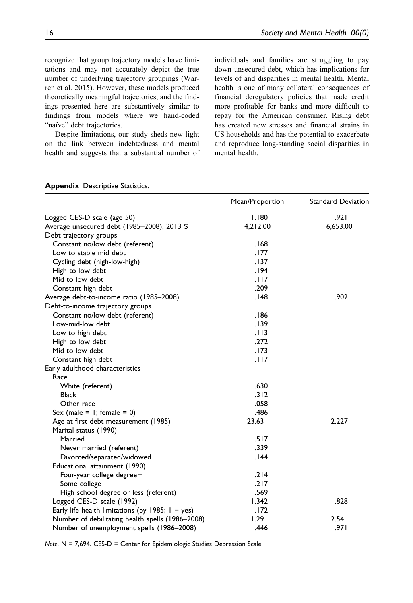recognize that group trajectory models have limitations and may not accurately depict the true number of underlying trajectory groupings (Warren et al. 2015). However, these models produced theoretically meaningful trajectories, and the findings presented here are substantively similar to findings from models where we hand-coded "naïve" debt trajectories.

Despite limitations, our study sheds new light on the link between indebtedness and mental health and suggests that a substantial number of individuals and families are struggling to pay down unsecured debt, which has implications for levels of and disparities in mental health. Mental health is one of many collateral consequences of financial deregulatory policies that made credit more profitable for banks and more difficult to repay for the American consumer. Rising debt has created new stresses and financial strains in US households and has the potential to exacerbate and reproduce long-standing social disparities in mental health.

|                                                     | Mean/Proportion | <b>Standard Deviation</b> |
|-----------------------------------------------------|-----------------|---------------------------|
| Logged CES-D scale (age 50)                         | 1.180           | .921                      |
| Average unsecured debt (1985-2008), 2013 \$         | 4,212.00        | 6,653.00                  |
| Debt trajectory groups                              |                 |                           |
| Constant no/low debt (referent)                     | .168            |                           |
| Low to stable mid debt                              | .177            |                           |
| Cycling debt (high-low-high)                        | .137            |                           |
| High to low debt                                    | .194            |                           |
| Mid to low debt                                     | .117            |                           |
| Constant high debt                                  | .209            |                           |
| Average debt-to-income ratio (1985-2008)            | .148            | .902                      |
| Debt-to-income trajectory groups                    |                 |                           |
| Constant no/low debt (referent)                     | .186            |                           |
| Low-mid-low debt                                    | .139            |                           |
| Low to high debt                                    | .113            |                           |
| High to low debt                                    | .272            |                           |
| Mid to low debt                                     | .173            |                           |
| Constant high debt                                  | .117            |                           |
| Early adulthood characteristics                     |                 |                           |
| Race                                                |                 |                           |
| White (referent)                                    | .630            |                           |
| <b>Black</b>                                        | .312            |                           |
| Other race                                          | .058            |                           |
| Sex (male = $1$ ; female = 0)                       | .486            |                           |
| Age at first debt measurement (1985)                | 23.63           | 2.227                     |
| Marital status (1990)                               |                 |                           |
| Married                                             | .517            |                           |
| Never married (referent)                            | .339            |                           |
| Divorced/separated/widowed                          | .144            |                           |
| Educational attainment (1990)                       |                 |                           |
| Four-year college degree+                           | .214            |                           |
| Some college                                        | .217            |                           |
| High school degree or less (referent)               | .569            |                           |
| Logged CES-D scale (1992)                           | 1.342           | .828                      |
| Early life health limitations (by 1985; $1 = yes$ ) | .172            |                           |
| Number of debilitating health spells (1986-2008)    | 1.29            | 2.54                      |
| Number of unemployment spells (1986-2008)           | .446            | .971                      |

#### Appendix Descriptive Statistics.

Note.  $N = 7,694$ . CES-D = Center for Epidemiologic Studies Depression Scale.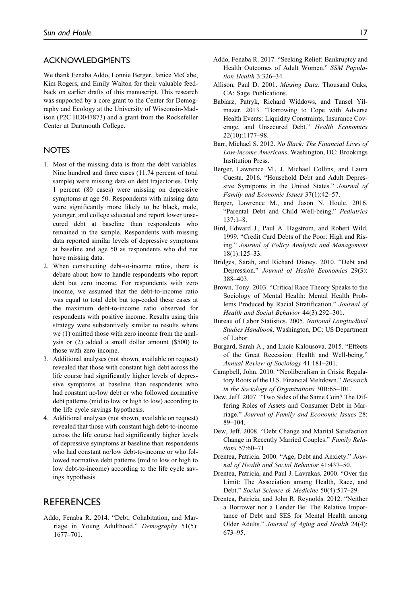#### ACKNOWLEDGMENTS

We thank Fenaba Addo, Lonnie Berger, Janice McCabe, Kim Rogers, and Emily Walton for their valuable feedback on earlier drafts of this manuscript. This research was supported by a core grant to the Center for Demography and Ecology at the University of Wisconsin-Madison (P2C HD047873) and a grant from the Rockefeller Center at Dartmouth College.

#### **NOTES**

- 1. Most of the missing data is from the debt variables. Nine hundred and three cases (11.74 percent of total sample) were missing data on debt trajectories. Only 1 percent (80 cases) were missing on depressive symptoms at age 50. Respondents with missing data were significantly more likely to be black, male, younger, and college educated and report lower unsecured debt at baseline than respondents who remained in the sample. Respondents with missing data reported similar levels of depressive symptoms at baseline and age 50 as respondents who did not have missing data.
- 2. When constructing debt-to-income ratios, there is debate about how to handle respondents who report debt but zero income. For respondents with zero income, we assumed that the debt-to-income ratio was equal to total debt but top-coded these cases at the maximum debt-to-income ratio observed for respondents with positive income. Results using this strategy were substantively similar to results where we (1) omitted those with zero income from the analysis or (2) added a small dollar amount (\$500) to those with zero income.
- 3. Additional analyses (not shown, available on request) revealed that those with constant high debt across the life course had significantly higher levels of depressive symptoms at baseline than respondents who had constant no/low debt or who followed normative debt patterns (mid to low or high to low) according to the life cycle savings hypothesis.
- 4. Additional analyses (not shown, available on request) revealed that those with constant high debt-to-income across the life course had significantly higher levels of depressive symptoms at baseline than respondents who had constant no/low debt-to-income or who followed normative debt patterns (mid to low or high to low debt-to-income) according to the life cycle savings hypothesis.

## **REFERENCES**

Addo, Fenaba R. 2014. "Debt, Cohabitation, and Marriage in Young Adulthood." Demography 51(5): 1677–701.

- Addo, Fenaba R. 2017. "Seeking Relief: Bankruptcy and Health Outcomes of Adult Women." SSM Population Health 3:326–34.
- Allison, Paul D. 2001. Missing Data. Thousand Oaks, CA: Sage Publications.
- Babiarz, Patryk, Richard Widdows, and Tansel Yilmazer. 2013. "Borrowing to Cope with Adverse Health Events: Liquidity Constraints, Insurance Coverage, and Unsecured Debt." Health Economics 22(10):1177–98.
- Barr, Michael S. 2012. No Slack: The Financial Lives of Low-income Americans. Washington, DC: Brookings Institution Press.
- Berger, Lawrence M., J. Michael Collins, and Laura Cuesta. 2016. "Household Debt and Adult Depressive Symtpoms in the United States." Journal of Family and Economic Issues 37(1):42–57.
- Berger, Lawrence M., and Jason N. Houle. 2016. "Parental Debt and Child Well-being." Pediatrics  $137 \cdot 1 - 8$
- Bird, Edward J., Paul A. Hagstrom, and Robert Wild. 1999. "Credit Card Debts of the Poor: High and Rising." Journal of Policy Analyisis and Management 18(1):125–33.
- Bridges, Sarah, and Richard Disney. 2010. "Debt and Depression." Journal of Health Economics 29(3): 388–403.
- Brown, Tony. 2003. "Critical Race Theory Speaks to the Sociology of Mental Health: Mental Health Problems Produced by Racial Stratification." Journal of Health and Social Behavior 44(3):292–301.
- Bureau of Labor Statistics. 2005. National Longitudinal Studies Handbook. Washington, DC: US Department of Labor.
- Burgard, Sarah A., and Lucie Kalousova. 2015. "Effects of the Great Recession: Health and Well-being." Annual Review of Sociology 41:181–201.
- Campbell, John. 2010. "Neoliberalism in Crisis: Regulatory Roots of the U.S. Financial Meltdown." Research in the Sociology of Organizations 30B:65–101.
- Dew, Jeff. 2007. "Two Sides of the Same Coin? The Differing Roles of Assets and Consumer Debt in Marriage." Journal of Family and Economic Issues 28: 89–104.
- Dew, Jeff. 2008. "Debt Change and Marital Satisfaction Change in Recently Married Couples." Family Relations 57:60–71.
- Drentea, Patricia. 2000. "Age, Debt and Anxiety." Journal of Health and Social Behavior 41:437–50.
- Drentea, Patricia, and Paul J. Lavrakas. 2000. "Over the Limit: The Association among Health, Race, and Debt." Social Science & Medicine 50(4):517–29.
- Drentea, Patricia, and John R. Reynolds. 2012. "Neither a Borrower nor a Lender Be: The Relative Importance of Debt and SES for Mental Health among Older Adults." Journal of Aging and Health 24(4): 673–95.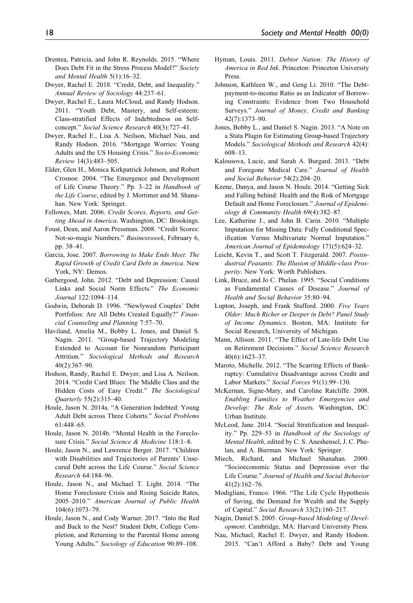- Drentea, Patricia, and John R. Reynolds. 2015. "Where Does Debt Fit in the Stress Process Model?" Society and Mental Health 5(1):16–32.
- Dwyer, Rachel E. 2018. "Credit, Debt, and Inequality." Annual Review of Sociology 44:237–61.
- Dwyer, Rachel E., Laura McCloud, and Randy Hodson. 2011. "Youth Debt, Mastery, and Self-esteem: Class-stratified Effects of Indebtedness on Selfconcept." Social Science Research 40(3):727–41.
- Dwyer, Rachel E., Lisa A. Neilson, Michael Nau, and Randy Hodson. 2016. "Mortgage Worries: Young Adults and the US Housing Crisis." Socio-Economic Review 14(3):483–505.
- Elder, Glen H., Monica Kirkpatrick Johnson, and Robert Crosnoe. 2004. "The Emergence and Development of Life Course Theory." Pp. 3–22 in Handbook of the Life Course, edited by J. Mortimer and M. Shanahan. New York: Springer.
- Fellowes, Matt. 2006. Credit Scores, Reports, and Getting Ahead in America. Washington, DC: Brookings.
- Foust, Dean, and Aaron Pressman. 2008. "Credit Scores: Not-so-magic Numbers." Businessweek, February 6, pp. 38–41.
- Garcia, Jose. 2007. Borrowing to Make Ends Meet: The Rapid Growth of Credit Card Debt in America. New York, NY: Demos.
- Gathergood, John. 2012. "Debt and Depression: Causal Links and Social Norm Effects." The Economic Journal 122:1094–114.
- Godwin, Deborah D. 1996. "Newlywed Couples' Debt Portfolios: Are All Debts Created Equally?" Financial Counseling and Planning 7:57–70.
- Haviland, Amelia M., Bobby L. Jones, and Daniel S. Nagin. 2011. "Group-based Trajectory Modeling Extended to Account for Nonrandom Participant Attrition." Sociological Methods and Research 40(2):367–90.
- Hodson, Randy, Rachel E. Dwyer, and Lisa A. Neilson. 2014. "Credit Card Blues: The Middle Class and the Hidden Costs of Easy Credit." The Sociological Quarterly 55(2):315–40.
- Houle, Jason N. 2014a. "A Generation Indebted: Young Adult Debt across Three Cohorts." Social Problems 61:448–65.
- Houle, Jason N. 2014b. "Mental Health in the Foreclosure Crisis." Social Science & Medicine 118:1–8.
- Houle, Jason N., and Lawrence Berger. 2017. "Children with Disabilities and Trajectories of Parents' Unsecured Debt across the Life Course." Social Science Research 64:184–96.
- Houle, Jason N., and Michael T. Light. 2014. "The Home Foreclosure Crisis and Rising Suicide Rates, 2005–2010." American Journal of Public Health 104(6):1073–79.
- Houle, Jason N., and Cody Warner. 2017. "Into the Red and Back to the Nest? Student Debt, College Completion, and Returning to the Parental Home among Young Adults." Sociology of Education 90:89–108.
- Hyman, Louis. 2011. Debtor Nation: The History of America in Red Ink. Princeton: Princeton University Press.
- Johnson, Kathleen W., and Geng Li. 2010. "The Debtpayment-to-income Ratio as an Indicator of Borrowing Constraints: Evidence from Two Household Surveys." Journal of Money, Credit and Banking 42(7):1373–90.
- Jones, Bobby L., and Daniel S. Nagin. 2013. "A Note on a Stata Plugin for Estimating Group-based Trajectory Models." Sociological Methods and Research 42(4): 608–13.
- Kalousova, Lucie, and Sarah A. Burgard. 2013. "Debt and Foregone Medical Care." Journal of Health and Social Behavior 54(2):204–20.
- Keene, Danya, and Jason N. Houle. 2014. "Getting Sick and Falling behind: Health and the Risk of Mortgage Default and Home Foreclosure." Journal of Epidemiology & Community Health 69(4):382–87.
- Lee, Katherine J., and John B. Carin. 2010. "Multiple Imputation for Missing Data: Fully Conditional Specification Versus Multivariate Normal Imputation." American Journal of Epidemiology 171(5):624–32.
- Leicht, Kevin T., and Scott T. Fitzgerald. 2007. Postindustrial Peasants: The Illusion of Middle-class Prosperity. New York: Worth Publishers.
- Link, Bruce, and Jo C. Phelan. 1995. "Social Conditions as Fundamental Causes of Disease." Journal of Health and Social Behavior 35:80–94.
- Lupton, Joseph, and Frank Stafford. 2000. Five Years Older: Much Richer or Deeper in Debt? Panel Study of Income Dynamics. Boston, MA: Institute for Social Research, University of Michigan.
- Mann, Allison. 2011. "The Effect of Late-life Debt Use on Retirement Decisions." Social Science Research 40(6):1623–37.
- Maroto, Michelle. 2012. "The Scarring Effects of Bankruptcy: Cumulative Disadvantage across Credit and Labor Markets." Social Forces 91(1):99–130.
- McKernan, Signe-Mary, and Caroline Ratcliffe. 2008. Enabling Families to Weather Emergencies and Develop: The Role of Assets. Washington, DC: Urban Institute.
- McLeod, Jane. 2014. "Social Stratification and Inequality." Pp. 229–53 in Handbook of the Sociology of Mental Health, edited by C. S. Aneshensel, J. C. Phelan, and A. Bierman. New York: Springer.
- Miech, Richard, and Michael Shanahan. 2000. "Socioeconomic Status and Depression over the Life Course." Journal of Health and Social Behavior 41(2):162–76.
- Modigliani, Franco. 1966. "The Life Cycle Hypothesis of Saving, the Demand for Wealth and the Supply of Capital." Social Research 33(2):160–217.
- Nagin, Daniel S. 2005. Group-based Modeling of Development. Cambridge, MA: Harvard University Press.
- Nau, Michael, Rachel E. Dwyer, and Randy Hodson. 2015. "Can't Afford a Baby? Debt and Young